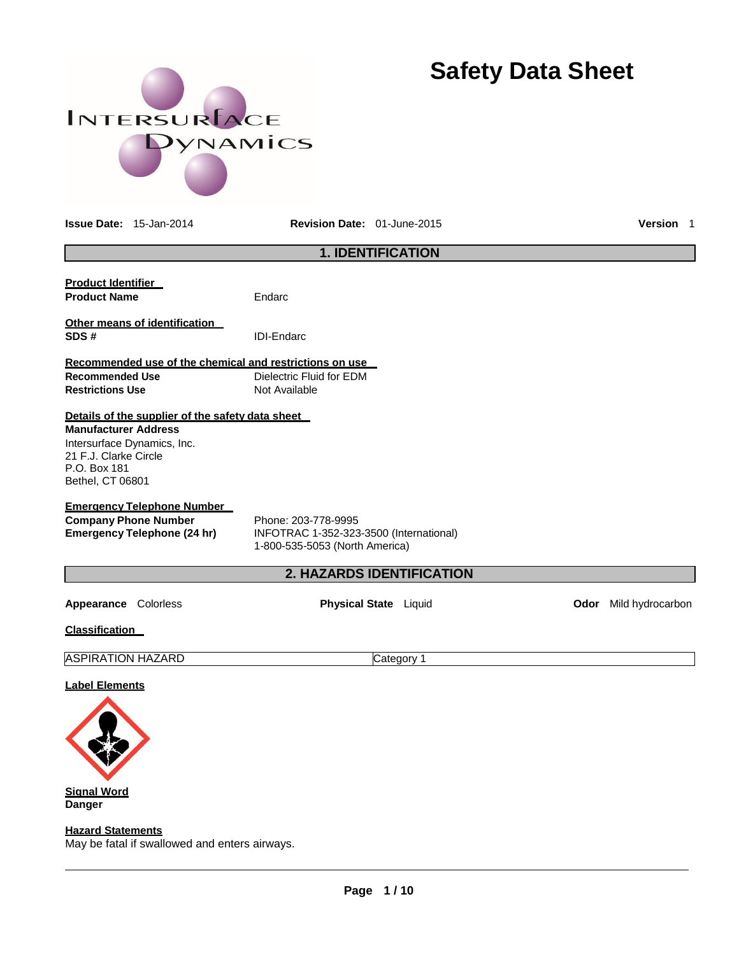# INTERSURFACE DYNAMICS

# **Safety Data Sheet**

**Issue Date:** 15-Jan-2014 **Revision Date:** 01-June-2015 **Version** 1

|                                                                                                                                                                             | <b>1. IDENTIFICATION</b>                                                                         |      |                  |
|-----------------------------------------------------------------------------------------------------------------------------------------------------------------------------|--------------------------------------------------------------------------------------------------|------|------------------|
| <b>Product Identifier</b><br><b>Product Name</b>                                                                                                                            | Endarc                                                                                           |      |                  |
| Other means of identification<br>SDS#                                                                                                                                       | <b>IDI-Endarc</b>                                                                                |      |                  |
| Recommended use of the chemical and restrictions on use<br><b>Recommended Use</b><br><b>Restrictions Use</b>                                                                | Dielectric Fluid for EDM<br>Not Available                                                        |      |                  |
| Details of the supplier of the safety data sheet<br><b>Manufacturer Address</b><br>Intersurface Dynamics, Inc.<br>21 F.J. Clarke Circle<br>P.O. Box 181<br>Bethel, CT 06801 |                                                                                                  |      |                  |
| <b>Emergency Telephone Number</b><br><b>Company Phone Number</b><br><b>Emergency Telephone (24 hr)</b>                                                                      | Phone: 203-778-9995<br>INFOTRAC 1-352-323-3500 (International)<br>1-800-535-5053 (North America) |      |                  |
|                                                                                                                                                                             | <b>2. HAZARDS IDENTIFICATION</b>                                                                 |      |                  |
| Colorless<br>Appearance                                                                                                                                                     | <b>Physical State</b> Liquid                                                                     | Odor | Mild hydrocarbon |
| <b>Classification</b>                                                                                                                                                       |                                                                                                  |      |                  |
| <b>ASPIRATION HAZARD</b>                                                                                                                                                    | Category 1                                                                                       |      |                  |
|                                                                                                                                                                             |                                                                                                  |      |                  |

# **Label Elements**



**Danger**

**Hazard Statements**

May be fatal if swallowed and enters airways.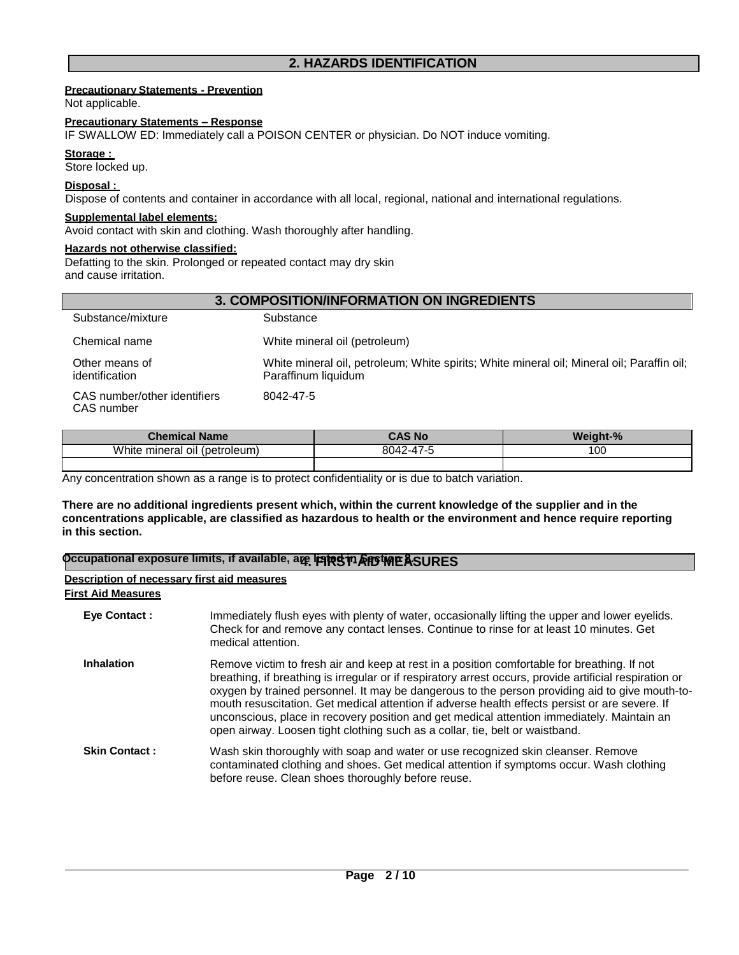# **2. HAZARDS IDENTIFICATION**

# **Precautionary Statements - Prevention**

Not applicable.

# **Precautionary Statements – Response**

IF SWALLOW ED: Immediately call a POISON CENTER or physician. Do NOT induce vomiting.

## Storage :

Store locked up.

# **Disposal :**

Dispose of contents and container in accordance with all local, regional, national and international regulations.

# **Supplemental label elements:**

Avoid contact with skin and clothing. Wash thoroughly after handling.

# **Hazards not otherwise classified:**

Defatting to the skin. Prolonged or repeated contact may dry skin and cause irritation.

| <b>3. COMPOSITION/INFORMATION ON INGREDIENTS</b> |                                                                                                                   |  |  |
|--------------------------------------------------|-------------------------------------------------------------------------------------------------------------------|--|--|
| Substance/mixture                                | Substance                                                                                                         |  |  |
| Chemical name                                    | White mineral oil (petroleum)                                                                                     |  |  |
| Other means of<br>identification                 | White mineral oil, petroleum; White spirits; White mineral oil; Mineral oil; Paraffin oil;<br>Paraffinum liquidum |  |  |
| CAS number/other identifiers<br>CAS number       | 8042-47-5                                                                                                         |  |  |

| <b>Chemical Name</b>            | CAS No                                                   | <b>Weight-%</b> |
|---------------------------------|----------------------------------------------------------|-----------------|
| White mineral oil<br>(petroleum | $\rightarrow$ $\rightarrow$ $\rightarrow$<br>804.<br>--- | 100             |
|                                 |                                                          |                 |

Any concentration shown as a range is to protect confidentiality or is due to batch variation.

**There are no additional ingredients present which, within the current knowledge of the supplier and in the concentrations applicable, are classified as hazardous to health or the environment and hence require reporting in this section.**

| Occupational exposure limits, if available, aழ ippesin & potine ASURES   |                                                                                                                                                                                                                                                                                                                                                                                                                                                                                                                                                                                          |  |  |
|--------------------------------------------------------------------------|------------------------------------------------------------------------------------------------------------------------------------------------------------------------------------------------------------------------------------------------------------------------------------------------------------------------------------------------------------------------------------------------------------------------------------------------------------------------------------------------------------------------------------------------------------------------------------------|--|--|
| Description of necessary first aid measures<br><b>First Aid Measures</b> |                                                                                                                                                                                                                                                                                                                                                                                                                                                                                                                                                                                          |  |  |
| <b>Eye Contact:</b>                                                      | Immediately flush eyes with plenty of water, occasionally lifting the upper and lower eyelids.<br>Check for and remove any contact lenses. Continue to rinse for at least 10 minutes. Get<br>medical attention.                                                                                                                                                                                                                                                                                                                                                                          |  |  |
| <b>Inhalation</b>                                                        | Remove victim to fresh air and keep at rest in a position comfortable for breathing. If not<br>breathing, if breathing is irregular or if respiratory arrest occurs, provide artificial respiration or<br>oxygen by trained personnel. It may be dangerous to the person providing aid to give mouth-to-<br>mouth resuscitation. Get medical attention if adverse health effects persist or are severe. If<br>unconscious, place in recovery position and get medical attention immediately. Maintain an<br>open airway. Loosen tight clothing such as a collar, tie, belt or waistband. |  |  |
| <b>Skin Contact:</b>                                                     | Wash skin thoroughly with soap and water or use recognized skin cleanser. Remove<br>contaminated clothing and shoes. Get medical attention if symptoms occur. Wash clothing<br>before reuse. Clean shoes thoroughly before reuse.                                                                                                                                                                                                                                                                                                                                                        |  |  |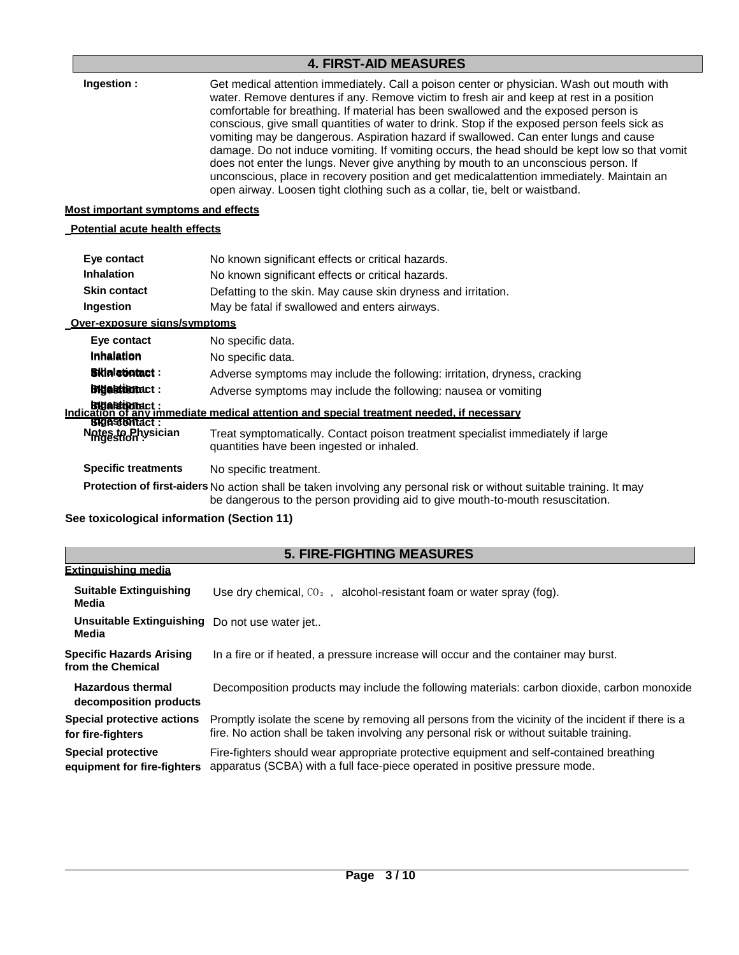# **4. FIRST-AID MEASURES**

| 4. FINJI HID IVIEAJUNEJ                                       |                                                                                                                                                                                                                                                                                                                                                                                                                                                                                                                                                                                                                                                                                                                                                                                                                                           |  |  |  |
|---------------------------------------------------------------|-------------------------------------------------------------------------------------------------------------------------------------------------------------------------------------------------------------------------------------------------------------------------------------------------------------------------------------------------------------------------------------------------------------------------------------------------------------------------------------------------------------------------------------------------------------------------------------------------------------------------------------------------------------------------------------------------------------------------------------------------------------------------------------------------------------------------------------------|--|--|--|
| Ingestion:                                                    | Get medical attention immediately. Call a poison center or physician. Wash out mouth with<br>water. Remove dentures if any. Remove victim to fresh air and keep at rest in a position<br>comfortable for breathing. If material has been swallowed and the exposed person is<br>conscious, give small quantities of water to drink. Stop if the exposed person feels sick as<br>vomiting may be dangerous. Aspiration hazard if swallowed. Can enter lungs and cause<br>damage. Do not induce vomiting. If vomiting occurs, the head should be kept low so that vomit<br>does not enter the lungs. Never give anything by mouth to an unconscious person. If<br>unconscious, place in recovery position and get medicalattention immediately. Maintain an<br>open airway. Loosen tight clothing such as a collar, tie, belt or waistband. |  |  |  |
| <b>Most important symptoms and effects</b>                    |                                                                                                                                                                                                                                                                                                                                                                                                                                                                                                                                                                                                                                                                                                                                                                                                                                           |  |  |  |
| <b>Potential acute health effects</b>                         |                                                                                                                                                                                                                                                                                                                                                                                                                                                                                                                                                                                                                                                                                                                                                                                                                                           |  |  |  |
| Eye contact                                                   | No known significant effects or critical hazards.                                                                                                                                                                                                                                                                                                                                                                                                                                                                                                                                                                                                                                                                                                                                                                                         |  |  |  |
| <b>Inhalation</b>                                             | No known significant effects or critical hazards.                                                                                                                                                                                                                                                                                                                                                                                                                                                                                                                                                                                                                                                                                                                                                                                         |  |  |  |
| <b>Skin contact</b>                                           | Defatting to the skin. May cause skin dryness and irritation.                                                                                                                                                                                                                                                                                                                                                                                                                                                                                                                                                                                                                                                                                                                                                                             |  |  |  |
| Ingestion                                                     | May be fatal if swallowed and enters airways.                                                                                                                                                                                                                                                                                                                                                                                                                                                                                                                                                                                                                                                                                                                                                                                             |  |  |  |
| Over-exposure signs/symptoms                                  |                                                                                                                                                                                                                                                                                                                                                                                                                                                                                                                                                                                                                                                                                                                                                                                                                                           |  |  |  |
| Eye contact                                                   | No specific data.                                                                                                                                                                                                                                                                                                                                                                                                                                                                                                                                                                                                                                                                                                                                                                                                                         |  |  |  |
| Inhalation                                                    | No specific data.                                                                                                                                                                                                                                                                                                                                                                                                                                                                                                                                                                                                                                                                                                                                                                                                                         |  |  |  |
| <b>Bilialatiotact:</b>                                        | Adverse symptoms may include the following: irritation, dryness, cracking                                                                                                                                                                                                                                                                                                                                                                                                                                                                                                                                                                                                                                                                                                                                                                 |  |  |  |
| <b>Bigestiemact:</b>                                          | Adverse symptoms may include the following: nausea or vomiting                                                                                                                                                                                                                                                                                                                                                                                                                                                                                                                                                                                                                                                                                                                                                                            |  |  |  |
|                                                               | bleattionact :<br>Indication of any immediate medical attention and special treatment needed. if necessary                                                                                                                                                                                                                                                                                                                                                                                                                                                                                                                                                                                                                                                                                                                                |  |  |  |
| <b>Bidestionact:</b><br>Notes to Physician                    | Treat symptomatically. Contact poison treatment specialist immediately if large<br>quantities have been ingested or inhaled.                                                                                                                                                                                                                                                                                                                                                                                                                                                                                                                                                                                                                                                                                                              |  |  |  |
| <b>Specific treatments</b>                                    | No specific treatment.                                                                                                                                                                                                                                                                                                                                                                                                                                                                                                                                                                                                                                                                                                                                                                                                                    |  |  |  |
|                                                               | Protection of first-aiders No action shall be taken involving any personal risk or without suitable training. It may<br>be dangerous to the person providing aid to give mouth-to-mouth resuscitation.                                                                                                                                                                                                                                                                                                                                                                                                                                                                                                                                                                                                                                    |  |  |  |
| See toxicological information (Section 11)                    |                                                                                                                                                                                                                                                                                                                                                                                                                                                                                                                                                                                                                                                                                                                                                                                                                                           |  |  |  |
|                                                               | <b>5. FIRE-FIGHTING MEASURES</b>                                                                                                                                                                                                                                                                                                                                                                                                                                                                                                                                                                                                                                                                                                                                                                                                          |  |  |  |
| Extinguishing media                                           |                                                                                                                                                                                                                                                                                                                                                                                                                                                                                                                                                                                                                                                                                                                                                                                                                                           |  |  |  |
| <b>Suitable Extinguishing</b><br><b>Media</b>                 | Use dry chemical, CO <sub>2</sub> , alcohol-resistant foam or water spray (fog).                                                                                                                                                                                                                                                                                                                                                                                                                                                                                                                                                                                                                                                                                                                                                          |  |  |  |
| Unsuitable Extinguishing Do not use water jet<br><b>Media</b> |                                                                                                                                                                                                                                                                                                                                                                                                                                                                                                                                                                                                                                                                                                                                                                                                                                           |  |  |  |
| <b>Specific Hazards Arising</b><br>from the Chemical          | In a fire or if heated, a pressure increase will occur and the container may burst.                                                                                                                                                                                                                                                                                                                                                                                                                                                                                                                                                                                                                                                                                                                                                       |  |  |  |

**Hazardous thermal decomposition products** Decomposition products may include the following materials: carbon dioxide, carbon monoxide **Special protective actions** Promptly isolate the scene by removing all persons from the vicinity of the incident if there is a

**for fire-fighters** fire. No action shall be taken involving any personal risk or without suitable training. **Special protective** Fire-fighters should wear appropriate protective equipment and self-contained breathing

**equipment for fire-fighters** apparatus (SCBA) with a full face-piece operated in positive pressure mode.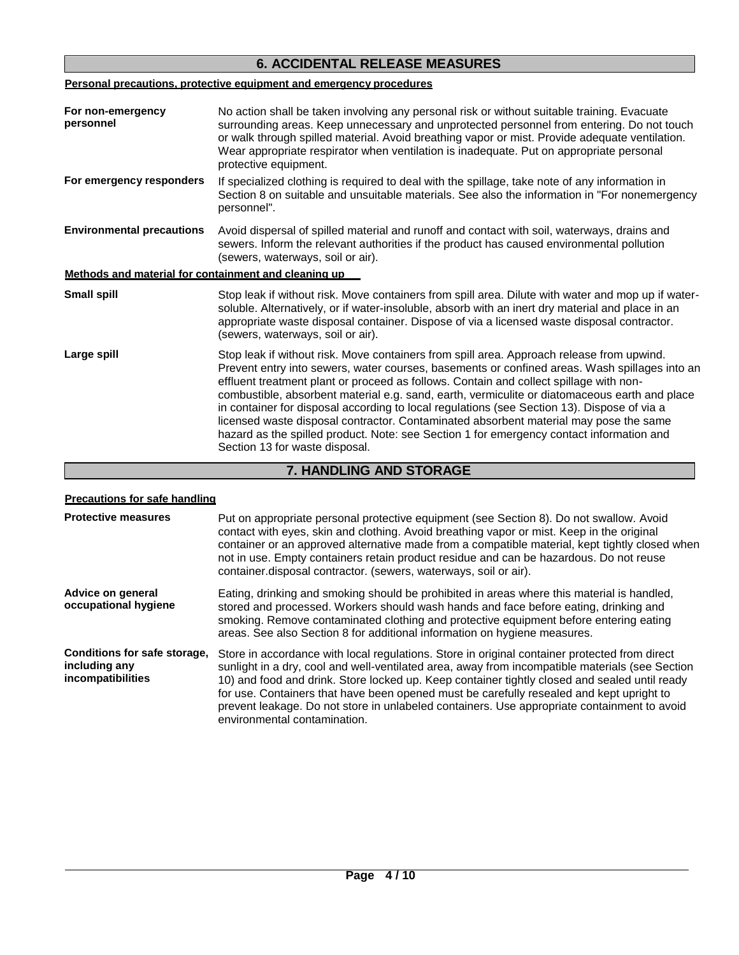# **6. ACCIDENTAL RELEASE MEASURES**

# **Personal precautions, protective equipment and emergency procedures**

| For non-emergency<br>personnel                       | No action shall be taken involving any personal risk or without suitable training. Evacuate<br>surrounding areas. Keep unnecessary and unprotected personnel from entering. Do not touch<br>or walk through spilled material. Avoid breathing vapor or mist. Provide adequate ventilation.<br>Wear appropriate respirator when ventilation is inadequate. Put on appropriate personal<br>protective equipment.                                                                                                                                                                                                                                                                                              |
|------------------------------------------------------|-------------------------------------------------------------------------------------------------------------------------------------------------------------------------------------------------------------------------------------------------------------------------------------------------------------------------------------------------------------------------------------------------------------------------------------------------------------------------------------------------------------------------------------------------------------------------------------------------------------------------------------------------------------------------------------------------------------|
| For emergency responders                             | If specialized clothing is required to deal with the spillage, take note of any information in<br>Section 8 on suitable and unsuitable materials. See also the information in "For nonemergency<br>personnel".                                                                                                                                                                                                                                                                                                                                                                                                                                                                                              |
| <b>Environmental precautions</b>                     | Avoid dispersal of spilled material and runoff and contact with soil, waterways, drains and<br>sewers. Inform the relevant authorities if the product has caused environmental pollution<br>(sewers, waterways, soil or air).                                                                                                                                                                                                                                                                                                                                                                                                                                                                               |
| Methods and material for containment and cleaning up |                                                                                                                                                                                                                                                                                                                                                                                                                                                                                                                                                                                                                                                                                                             |
| Small spill                                          | Stop leak if without risk. Move containers from spill area. Dilute with water and mop up if water-<br>soluble. Alternatively, or if water-insoluble, absorb with an inert dry material and place in an<br>appropriate waste disposal container. Dispose of via a licensed waste disposal contractor.<br>(sewers, waterways, soil or air).                                                                                                                                                                                                                                                                                                                                                                   |
| Large spill                                          | Stop leak if without risk. Move containers from spill area. Approach release from upwind.<br>Prevent entry into sewers, water courses, basements or confined areas. Wash spillages into an<br>effluent treatment plant or proceed as follows. Contain and collect spillage with non-<br>combustible, absorbent material e.g. sand, earth, vermiculite or diatomaceous earth and place<br>in container for disposal according to local regulations (see Section 13). Dispose of via a<br>licensed waste disposal contractor. Contaminated absorbent material may pose the same<br>hazard as the spilled product. Note: see Section 1 for emergency contact information and<br>Section 13 for waste disposal. |

# **7. HANDLING AND STORAGE**

| <b>Precautions for safe handling</b>                               |                                                                                                                                                                                                                                                                                                                                                                                                                                                                                                                              |  |  |
|--------------------------------------------------------------------|------------------------------------------------------------------------------------------------------------------------------------------------------------------------------------------------------------------------------------------------------------------------------------------------------------------------------------------------------------------------------------------------------------------------------------------------------------------------------------------------------------------------------|--|--|
| <b>Protective measures</b>                                         | Put on appropriate personal protective equipment (see Section 8). Do not swallow. Avoid<br>contact with eyes, skin and clothing. Avoid breathing vapor or mist. Keep in the original<br>container or an approved alternative made from a compatible material, kept tightly closed when<br>not in use. Empty containers retain product residue and can be hazardous. Do not reuse<br>container.disposal contractor. (sewers, waterways, soil or air).                                                                         |  |  |
| Advice on general<br>occupational hygiene                          | Eating, drinking and smoking should be prohibited in areas where this material is handled,<br>stored and processed. Workers should wash hands and face before eating, drinking and<br>smoking. Remove contaminated clothing and protective equipment before entering eating<br>areas. See also Section 8 for additional information on hygiene measures.                                                                                                                                                                     |  |  |
| Conditions for safe storage.<br>including any<br>incompatibilities | Store in accordance with local regulations. Store in original container protected from direct<br>sunlight in a dry, cool and well-ventilated area, away from incompatible materials (see Section<br>10) and food and drink. Store locked up. Keep container tightly closed and sealed until ready<br>for use. Containers that have been opened must be carefully resealed and kept upright to<br>prevent leakage. Do not store in unlabeled containers. Use appropriate containment to avoid<br>environmental contamination. |  |  |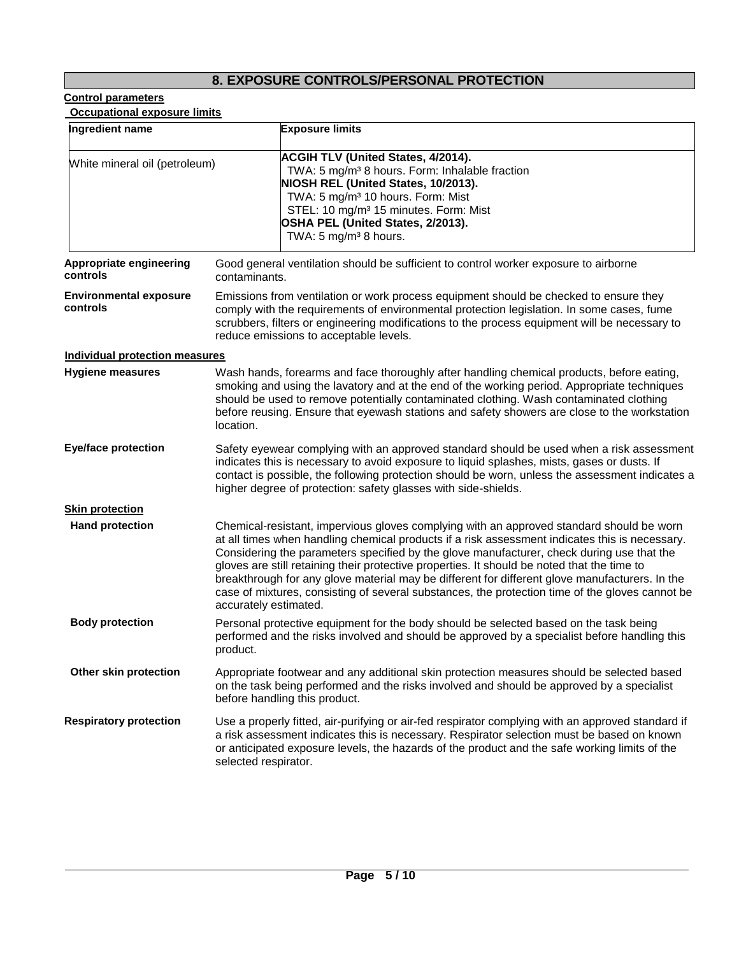# **8. EXPOSURE CONTROLS/PERSONAL PROTECTION**

 **Occupational exposure limits**

| Ingredient name                           | <b>Exposure limits</b>                                                                                                                                                                                                                                                                                                                                                                                                                                                                                                                                                                                               |  |
|-------------------------------------------|----------------------------------------------------------------------------------------------------------------------------------------------------------------------------------------------------------------------------------------------------------------------------------------------------------------------------------------------------------------------------------------------------------------------------------------------------------------------------------------------------------------------------------------------------------------------------------------------------------------------|--|
| White mineral oil (petroleum)             | <b>ACGIH TLV (United States, 4/2014).</b><br>TWA: 5 mg/m <sup>3</sup> 8 hours. Form: Inhalable fraction<br>NIOSH REL (United States, 10/2013).<br>TWA: 5 mg/m <sup>3</sup> 10 hours. Form: Mist<br>STEL: 10 mg/m <sup>3</sup> 15 minutes. Form: Mist<br>OSHA PEL (United States, 2/2013).<br>TWA: 5 mg/m <sup>3</sup> 8 hours.                                                                                                                                                                                                                                                                                       |  |
| Appropriate engineering<br>controls       | Good general ventilation should be sufficient to control worker exposure to airborne<br>contaminants.                                                                                                                                                                                                                                                                                                                                                                                                                                                                                                                |  |
| <b>Environmental exposure</b><br>controls | Emissions from ventilation or work process equipment should be checked to ensure they<br>comply with the requirements of environmental protection legislation. In some cases, fume<br>scrubbers, filters or engineering modifications to the process equipment will be necessary to<br>reduce emissions to acceptable levels.                                                                                                                                                                                                                                                                                        |  |
| <b>Individual protection measures</b>     |                                                                                                                                                                                                                                                                                                                                                                                                                                                                                                                                                                                                                      |  |
| <b>Hygiene measures</b>                   | Wash hands, forearms and face thoroughly after handling chemical products, before eating,<br>smoking and using the lavatory and at the end of the working period. Appropriate techniques<br>should be used to remove potentially contaminated clothing. Wash contaminated clothing<br>before reusing. Ensure that eyewash stations and safety showers are close to the workstation<br>location.                                                                                                                                                                                                                      |  |
| <b>Eye/face protection</b>                | Safety eyewear complying with an approved standard should be used when a risk assessment<br>indicates this is necessary to avoid exposure to liquid splashes, mists, gases or dusts. If<br>contact is possible, the following protection should be worn, unless the assessment indicates a<br>higher degree of protection: safety glasses with side-shields.                                                                                                                                                                                                                                                         |  |
| <b>Skin protection</b>                    |                                                                                                                                                                                                                                                                                                                                                                                                                                                                                                                                                                                                                      |  |
| <b>Hand protection</b>                    | Chemical-resistant, impervious gloves complying with an approved standard should be worn<br>at all times when handling chemical products if a risk assessment indicates this is necessary.<br>Considering the parameters specified by the glove manufacturer, check during use that the<br>gloves are still retaining their protective properties. It should be noted that the time to<br>breakthrough for any glove material may be different for different glove manufacturers. In the<br>case of mixtures, consisting of several substances, the protection time of the gloves cannot be<br>accurately estimated. |  |
| <b>Body protection</b>                    | Personal protective equipment for the body should be selected based on the task being<br>performed and the risks involved and should be approved by a specialist before handling this<br>product.                                                                                                                                                                                                                                                                                                                                                                                                                    |  |
| Other skin protection                     | Appropriate footwear and any additional skin protection measures should be selected based<br>on the task being performed and the risks involved and should be approved by a specialist<br>before handling this product.                                                                                                                                                                                                                                                                                                                                                                                              |  |
| <b>Respiratory protection</b>             | Use a properly fitted, air-purifying or air-fed respirator complying with an approved standard if<br>a risk assessment indicates this is necessary. Respirator selection must be based on known<br>or anticipated exposure levels, the hazards of the product and the safe working limits of the<br>selected respirator.                                                                                                                                                                                                                                                                                             |  |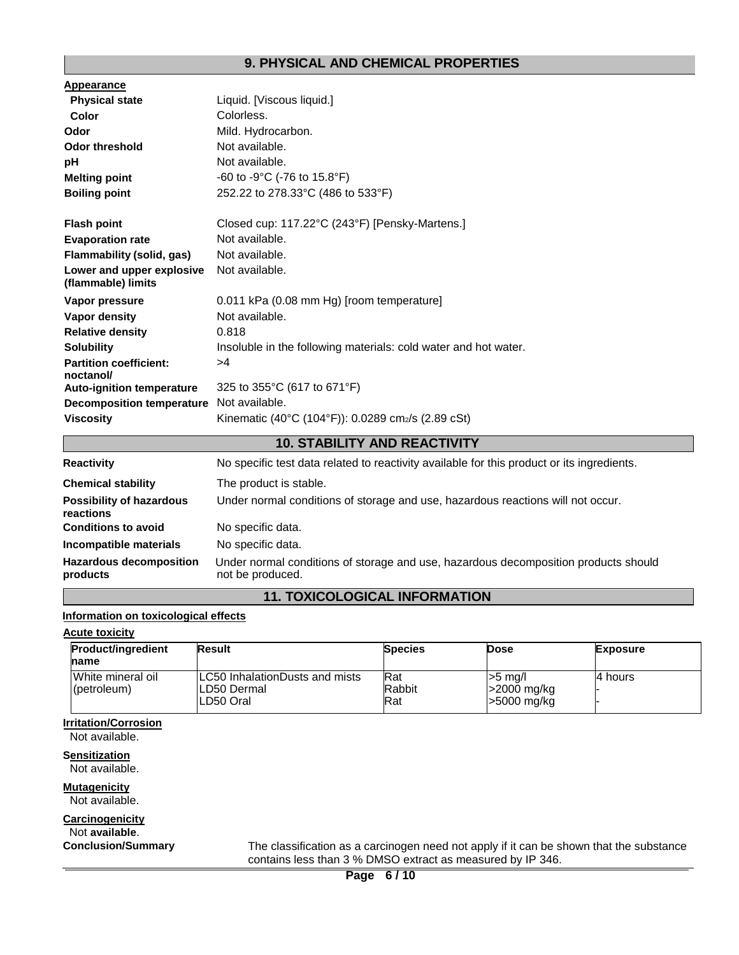# **9. PHYSICAL AND CHEMICAL PROPERTIES**

| Appearance                                      |                                                                 |
|-------------------------------------------------|-----------------------------------------------------------------|
| <b>Physical state</b>                           | Liquid. [Viscous liquid.]                                       |
| Color                                           | Colorless.                                                      |
| Odor                                            | Mild. Hydrocarbon.                                              |
| Odor threshold                                  | Not available.                                                  |
| рH                                              | Not available.                                                  |
| <b>Melting point</b>                            | -60 to -9°C (-76 to $15.8^{\circ}F$ )                           |
| <b>Boiling point</b>                            | 252.22 to 278.33°C (486 to 533°F)                               |
|                                                 |                                                                 |
| <b>Flash point</b>                              | Closed cup: 117.22°C (243°F) [Pensky-Martens.]                  |
| <b>Evaporation rate</b>                         | Not available.                                                  |
| Flammability (solid, gas)                       | Not available.                                                  |
| Lower and upper explosive<br>(flammable) limits | Not available.                                                  |
| Vapor pressure                                  | 0.011 kPa (0.08 mm Hg) [room temperature]                       |
| Vapor density                                   | Not available.                                                  |
| <b>Relative density</b>                         | 0.818                                                           |
| <b>Solubility</b>                               | Insoluble in the following materials: cold water and hot water. |
| <b>Partition coefficient:</b>                   | >4                                                              |
| noctanol/                                       |                                                                 |
| <b>Auto-ignition temperature</b>                | 325 to 355°C (617 to 671°F)                                     |
| <b>Decomposition temperature</b>                | Not available.                                                  |
| <b>Viscosity</b>                                | Kinematic (40°C (104°F)): 0.0289 cm2/s (2.89 cSt)               |

# **10. STABILITY AND REACTIVITY**

| <b>Reactivity</b>                            | No specific test data related to reactivity available for this product or its ingredients.              |
|----------------------------------------------|---------------------------------------------------------------------------------------------------------|
| <b>Chemical stability</b>                    | The product is stable.                                                                                  |
| <b>Possibility of hazardous</b><br>reactions | Under normal conditions of storage and use, hazardous reactions will not occur.                         |
| <b>Conditions to avoid</b>                   | No specific data.                                                                                       |
| Incompatible materials                       | No specific data.                                                                                       |
| <b>Hazardous decomposition</b><br>products   | Under normal conditions of storage and use, hazardous decomposition products should<br>not be produced. |

# **11. TOXICOLOGICAL INFORMATION**

# **Information on toxicological effects**

# **Acute toxicity**

| <b>Product/ingredient</b>        | Result                                                              | <b>Species</b>       | <b>Dose</b>                            | <b>Exposure</b> |
|----------------------------------|---------------------------------------------------------------------|----------------------|----------------------------------------|-----------------|
| name                             |                                                                     |                      |                                        |                 |
| White mineral oil<br>(petroleum) | <b>ILC50 InhalationDusts and mists</b><br>ILD50 Dermal<br>LD50 Oral | Rat<br>Rabbit<br>Rat | $>5$ ma/<br>>2000 mg/kg<br>-5000 mg/kg | l4 hours        |

# **Irritation/Corrosion**

Not available.

**Sensitization** Not available.

**Mutagenicity** Not available.

# **Carcinogenicity** Not **available**.

**Conclusion/Summary** The classification as a carcinogen need not apply if it can be shown that the substance contains less than 3 % DMSO extract as measured by IP 346.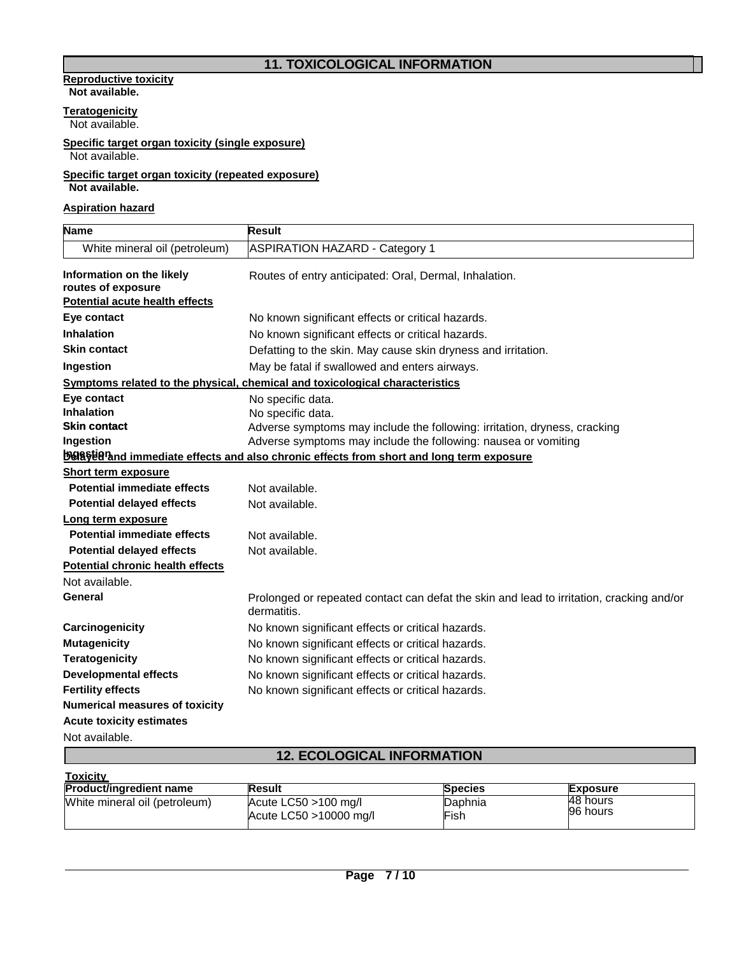# **11. TOXICOLOGICAL INFORMATION**

#### **Reproductive toxicity Not available.**

# **Teratogenicity**

Not available.

#### **Specific target organ toxicity (single exposure)** Not available.

# **Specific target organ toxicity (repeated exposure) Not available.**

**Aspiration hazard**

| <b>Name</b>                                     | Result                                                                                                  |
|-------------------------------------------------|---------------------------------------------------------------------------------------------------------|
| White mineral oil (petroleum)                   | <b>ASPIRATION HAZARD - Category 1</b>                                                                   |
| Information on the likely<br>routes of exposure | Routes of entry anticipated: Oral, Dermal, Inhalation.                                                  |
| <b>Potential acute health effects</b>           |                                                                                                         |
| Eye contact                                     | No known significant effects or critical hazards.                                                       |
| <b>Inhalation</b>                               | No known significant effects or critical hazards.                                                       |
| <b>Skin contact</b>                             | Defatting to the skin. May cause skin dryness and irritation.                                           |
| Ingestion                                       | May be fatal if swallowed and enters airways.                                                           |
|                                                 | Symptoms related to the physical, chemical and toxicological characteristics                            |
| Eye contact                                     | No specific data.                                                                                       |
| <b>Inhalation</b>                               | No specific data.                                                                                       |
| <b>Skin contact</b>                             | Adverse symptoms may include the following: irritation, dryness, cracking                               |
| Ingestion                                       | Adverse symptoms may include the following: nausea or vomiting                                          |
|                                                 | <b>Delavierand immediate effects and also chronic effects from short and long term exposure</b>         |
| <b>Short term exposure</b>                      |                                                                                                         |
| <b>Potential immediate effects</b>              | Not available.                                                                                          |
| <b>Potential delayed effects</b>                | Not available.                                                                                          |
| Long term exposure                              |                                                                                                         |
| <b>Potential immediate effects</b>              | Not available.                                                                                          |
| <b>Potential delayed effects</b>                | Not available.                                                                                          |
| <b>Potential chronic health effects</b>         |                                                                                                         |
| Not available.                                  |                                                                                                         |
| General                                         | Prolonged or repeated contact can defat the skin and lead to irritation, cracking and/or<br>dermatitis. |
| Carcinogenicity                                 | No known significant effects or critical hazards.                                                       |
| <b>Mutagenicity</b>                             | No known significant effects or critical hazards.                                                       |
| <b>Teratogenicity</b>                           | No known significant effects or critical hazards.                                                       |
| <b>Developmental effects</b>                    | No known significant effects or critical hazards.                                                       |
| <b>Fertility effects</b>                        | No known significant effects or critical hazards.                                                       |
| <b>Numerical measures of toxicity</b>           |                                                                                                         |
| <b>Acute toxicity estimates</b>                 |                                                                                                         |
| Not available.                                  |                                                                                                         |
|                                                 | <b>12. ECOLOGICAL INFORMATION</b>                                                                       |
|                                                 |                                                                                                         |

| <b>Toxicity</b>                |                                                   |                 |                      |  |
|--------------------------------|---------------------------------------------------|-----------------|----------------------|--|
| <b>Product/ingredient name</b> | <b>Result</b>                                     | <b>Species</b>  | <b>Exposure</b>      |  |
| White mineral oil (petroleum)  | Acute $LC50 > 100$ mg/l<br>Acute LC50 >10000 mg/l | Daphnia<br>Fish | 48 hours<br>96 hours |  |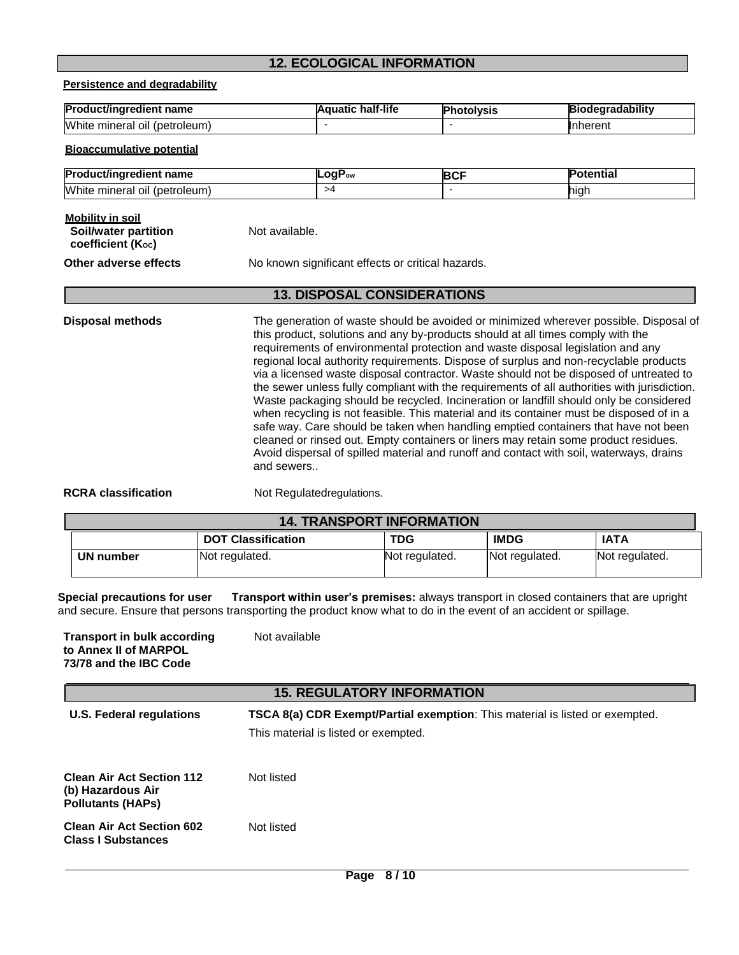# **12. ECOLOGICAL INFORMATION**

**Persistence and degradability**

| <b>Product/ingredient name</b> | half-life<br>luatic<br>IΔ C | 'hotolvsis | .<br><b>Jdearadability</b> |
|--------------------------------|-----------------------------|------------|----------------------------|
| White mineral oil (petroleum)  |                             |            | <b>Inherent</b>            |

**Bioaccumulative potential**

| Prod                                   | naF | $\sim$ |          |
|----------------------------------------|-----|--------|----------|
| duct/ingredient name                   | Fow | . .    | otential |
| White<br>(petroleum)<br>minerai<br>ΟIΙ |     |        | hıqh     |

## **Mobility in soil Soil/water partition coefficient (Koc)**

Not available.

**Other adverse effects** No known significant effects or critical hazards.

# **13. DISPOSAL CONSIDERATIONS**

**Disposal methods** The generation of waste should be avoided or minimized wherever possible. Disposal of this product, solutions and any by-products should at all times comply with the requirements of environmental protection and waste disposal legislation and any regional local authority requirements. Dispose of surplus and non-recyclable products via a licensed waste disposal contractor. Waste should not be disposed of untreated to the sewer unless fully compliant with the requirements of all authorities with jurisdiction. Waste packaging should be recycled. Incineration or landfill should only be considered when recycling is not feasible. This material and its container must be disposed of in a safe way. Care should be taken when handling emptied containers that have not been cleaned or rinsed out. Empty containers or liners may retain some product residues. Avoid dispersal of spilled material and runoff and contact with soil, waterways, drains and sewers..

**RCRA classification** Not Regulated requlations.

| <b>14. TRANSPORT INFORMATION</b> |                           |                |                |                |
|----------------------------------|---------------------------|----------------|----------------|----------------|
|                                  | <b>DOT Classification</b> | <b>TDG</b>     | <b>IMDG</b>    | <b>IATA</b>    |
| UN number                        | Not regulated.            | Not regulated. | Not regulated. | Not regulated. |

**s Special precautions for user Transport within user's premises:** always transport in closed containers that are upright **s i** and secure. Ensure that persons transporting the product know what to do in the event of an accident or spillage.

| <b>Transport in bulk according</b><br>to Annex II of MARPOL<br>73/78 and the IBC Code | Not available |  |
|---------------------------------------------------------------------------------------|---------------|--|
|---------------------------------------------------------------------------------------|---------------|--|

| <b>15. REGULATORY INFORMATION</b>                                                 |                                                                                                                             |  |
|-----------------------------------------------------------------------------------|-----------------------------------------------------------------------------------------------------------------------------|--|
| U.S. Federal regulations                                                          | <b>TSCA 8(a) CDR Exempt/Partial exemption:</b> This material is listed or exempted.<br>This material is listed or exempted. |  |
| <b>Clean Air Act Section 112</b><br>(b) Hazardous Air<br><b>Pollutants (HAPs)</b> | Not listed                                                                                                                  |  |
| <b>Clean Air Act Section 602</b><br><b>Class I Substances</b>                     | Not listed                                                                                                                  |  |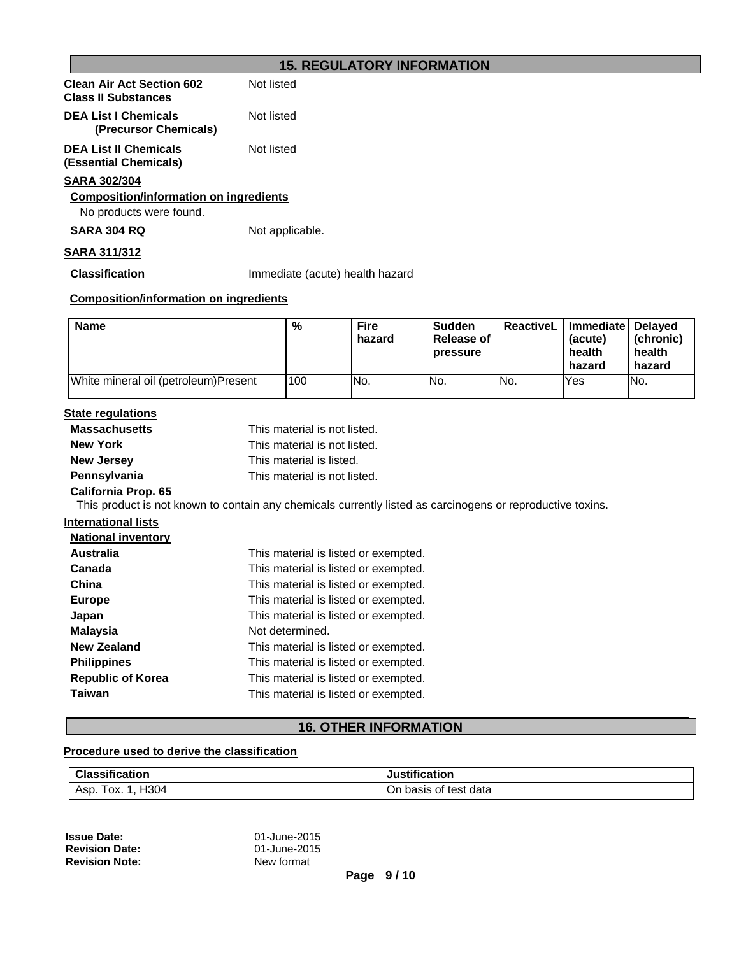# **15. REGULATORY INFORMATION**

| <b>Clean Air Act Section 602</b><br><b>Class II Substances</b> | Not listed |
|----------------------------------------------------------------|------------|
| <b>DEA List I Chemicals</b>                                    | Not listed |

**(Precursor Chemicals)** Not listed

**DEA List II Chemicals (Essential Chemicals)**

# **SARA 302/304**

# **Composition/information on ingredients**

No products were found.

**SARA 304 RQ** Not applicable.

# **SARA 311/312**

**Classification** Immediate (acute) health hazard

# **Composition/information on ingredients**

| <b>Name</b>                           | %   | <b>Fire</b><br>hazard | <b>Sudden</b><br><b>Release of</b><br>pressure | <b>ReactiveL</b> I | Immediate   Delayed<br>(acute)<br>health<br>hazard | (chronic)<br>health<br>hazard |
|---------------------------------------|-----|-----------------------|------------------------------------------------|--------------------|----------------------------------------------------|-------------------------------|
| White mineral oil (petroleum) Present | 100 | No.                   | No.                                            | No.                | <b>Yes</b>                                         | No.                           |

# **State regulations**

| <b>Massachusetts</b>       | This material is not listed.                                                                               |
|----------------------------|------------------------------------------------------------------------------------------------------------|
| <b>New York</b>            | This material is not listed.                                                                               |
| <b>New Jersey</b>          | This material is listed.                                                                                   |
| Pennsylvania               | This material is not listed.                                                                               |
| <b>California Prop. 65</b> |                                                                                                            |
|                            | This product is not known to contain any chemicals currently listed as carcinogens or reproductive toxins. |
| <b>International lists</b> |                                                                                                            |
| <b>National inventory</b>  |                                                                                                            |
| <b>Australia</b>           | This material is listed or exempted.                                                                       |
| Canada                     | This material is listed or exempted.                                                                       |
| China                      | This material is listed or exempted.                                                                       |
| <b>Europe</b>              | This material is listed or exempted.                                                                       |
| Japan                      | This material is listed or exempted.                                                                       |
| <b>Malaysia</b>            | Not determined.                                                                                            |
| <b>New Zealand</b>         | This material is listed or exempted.                                                                       |
| <b>Philippines</b>         | This material is listed or exempted.                                                                       |
| <b>Republic of Korea</b>   | This material is listed or exempted.                                                                       |

**Taiwan** This material is listed or exempted.

# **16. OTHER INFORMATION**

# **Procedure used to derive the classification**

| <b>Classification</b> | ification<br>งนธแเ |
|-----------------------|--------------------|
| H <sub>304</sub>      | ು of test data     |
| Asp                   | Οn.                |
| OX.                   | basis              |

| <b>Issue Date:</b>    | 01-June-2015 |
|-----------------------|--------------|
| <b>Revision Date:</b> | 01-June-2015 |
| <b>Revision Note:</b> | New format   |